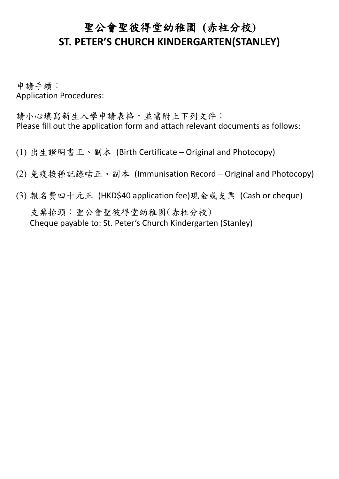## 聖公會聖彼得堂幼稚園 **(**赤柱分校**) ST. PETER'S CHURCH KINDERGARTEN(STANLEY)**

申請手續: Application Procedures:

請小心填寫新生入學申請表格,並需附上下列文件: Please fill out the application form and attach relevant documents as follows:

- (1) 出生證明書正、副本 (Birth Certificate Original and Photocopy)
- (2) 免疫接種記錄咭正、副本 (Immunisation Record Original and Photocopy)
- (3) 報名費四十元正 (HKD\$40 application fee)現金或支票 (Cash or cheque) 支票抬頭:聖公會聖彼得堂幼稚園(赤柱分校) Cheque payable to: St. Peter's Church Kindergarten (Stanley)